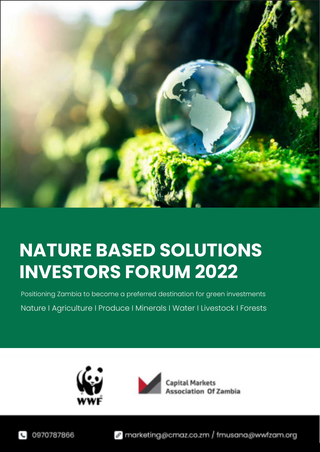

# **NATURE BASED SOLUTIONS INVESTORS FORUM 2022**

Nature I Agriculture I Produce I Minerals I Water I Livestock I Forests Positioning Zambia to become a preferred destination for green investments





Capital Markets ssociation Of Zambia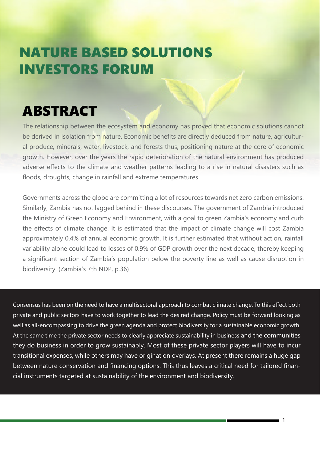# NATURE BASED SOLUTIONS INVESTORS FORUM

# ABSTRACT

The relationship between the ecosystem and economy has proved that economic solutions cannot be derived in isolation from nature. Economic benefits are directly deduced from nature, agricultural produce, minerals, water, livestock, and forests thus, positioning nature at the core of economic growth. However, over the years the rapid deterioration of the natural environment has produced adverse effects to the climate and weather patterns leading to a rise in natural disasters such as floods, droughts, change in rainfall and extreme temperatures.

Governments across the globe are committing a lot of resources towards net zero carbon emissions. Similarly, Zambia has not lagged behind in these discourses. The government of Zambia introduced the Ministry of Green Economy and Environment, with a goal to green Zambia's economy and curb the effects of climate change. It is estimated that the impact of climate change will cost Zambia approximately 0.4% of annual economic growth. It is further estimated that without action, rainfall variability alone could lead to losses of 0.9% of GDP growth over the next decade, thereby keeping a significant section of Zambia's population below the poverty line as well as cause disruption in biodiversity. (Zambia's 7th NDP, p.36)

Consensus has been on the need to have a multisectoral approach to combat climate change. To this effect both private and public sectors have to work together to lead the desired change. Policy must be forward looking as well as all-encompassing to drive the green agenda and protect biodiversity for a sustainable economic growth. At the same time the private sector needs to clearly appreciate sustainability in business and the communities they do business in order to grow sustainably. Most of these private sector players will have to incur transitional expenses, while others may have origination overlays. At present there remains a huge gap between nature conservation and financing options. This thus leaves a critical need for tailored financial instruments targeted at sustainability of the environment and biodiversity.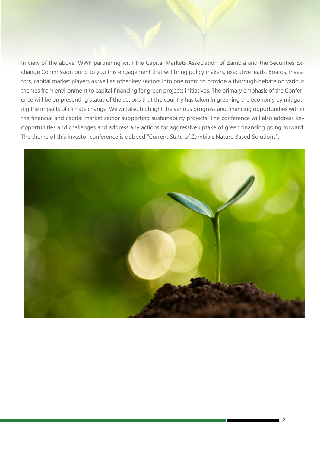In view of the above, WWF partnering with the Capital Markets Association of Zambia and the Securities Exchange Commission bring to you this engagement that will bring policy makers, executive leads, Boards, Investors, capital market players as well as other key sectors into one room to provide a thorough debate on various themes from environment to capital financing for green projects initiatives. The primary emphasis of the Conference will be on presenting status of the actions that the country has taken in greening the economy by mitigating the impacts of climate change. We will also highlight the various progress and financing opportunities within the financial and capital market sector supporting sustainability projects. The conference will also address key opportunities and challenges and address any actions for aggressive uptake of green financing going forward. The theme of this investor conference is dubbed "Current State of Zambia's Nature Based Solutions".

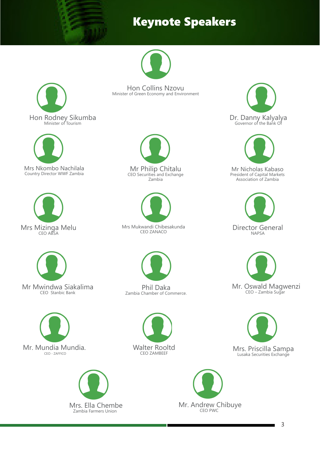## Keynote Speakers

































Mr Nicholas Kabaso President of Capital Markets Association of Zambia





3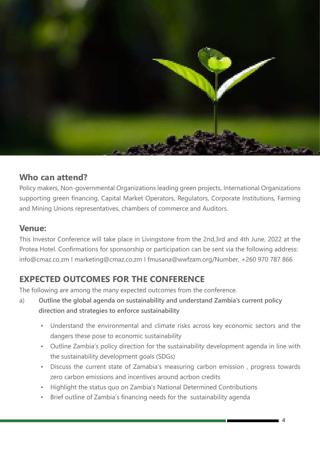

## **Who can attend?**

Policy makers, Non-governmental Organizations leading green projects, International Organizations supporting green financing, Capital Market Operators, Regulators, Corporate Institutions, Farming and Mining Unions representatives, chambers of commerce and Auditors.

## **Venue:**

This Investor Conference will take place in Livingstone from the 2nd,3rd and 4th June, 2022 at the Protea Hotel. Confirmations for sponsorship or participation can be sent via the following address: info@cmaz.co.zm I marketing@cmaz.co.zm I fmusana@wwfzam.org/Number, +260 970 787 866

## **EXPECTED OUTCOMES FOR THE CONFERENCE**

The following are among the many expected outcomes from the conference.

- a) **Outline the global agenda on sustainability and understand Zambia's current policy direction and strategies to enforce sustainability**
	- Understand the environmental and climate risks across key economic sectors and the dangers these pose to economic sustainability
	- Outline Zambia's policy direction for the sustainability development agenda in line with the sustainability development goals (SDGs)
	- Discuss the current state of Zamabia's measuring carbon emission , progress towards zero carbon emissions and incentives around acrbon credits
	- Highlight the status quo on Zambia's National Determined Contributions
	- Brief outline of Zambia's financing needs for the sustainability agenda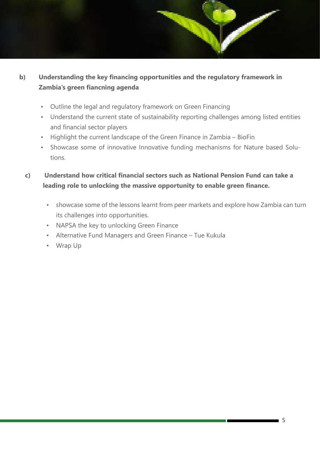## **b) Understanding the key financing opportunities and the regulatory framework in Zambia's green fiancning agenda**

- Outline the legal and regulatory framework on Green Financing
- Understand the current state of sustainability reporting challenges among listed entities and financial sector players
- Highlight the current landscape of the Green Finance in Zambia BioFin
- Showcase some of innovative Innovative funding mechanisms for Nature based Solutions.

### **c) Understand how critical financial sectors such as National Pension Fund can take a leading role to unlocking the massive opportunity to enable green finance.**

- showcase some of the lessons learnt from peer markets and explore how Zambia can turn its challenges into opportunities.
- NAPSA the key to unlocking Green Finance
- Alternative Fund Managers and Green Finance Tue Kukula
- Wrap Up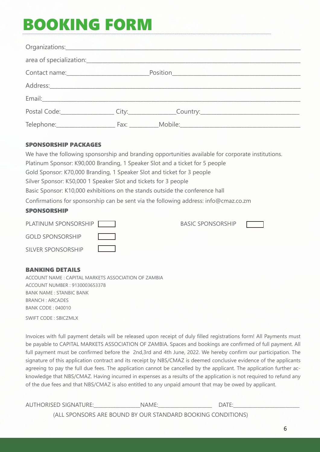# BOOKING FORM

|  | area of specialization: experience and all the set of specialization: |
|--|-----------------------------------------------------------------------|
|  |                                                                       |
|  |                                                                       |
|  |                                                                       |
|  | Postal Code: City: City: City: Country: Country:                      |
|  |                                                                       |

#### SPONSORSHIP PACKAGES

| We have the following sponsorship and branding opportunities available for corporate institutions. |                          |  |  |
|----------------------------------------------------------------------------------------------------|--------------------------|--|--|
| Platinum Sponsor: K90,000 Branding, 1 Speaker Slot and a ticket for 5 people                       |                          |  |  |
| Gold Sponsor: K70,000 Branding, 1 Speaker Slot and ticket for 3 people                             |                          |  |  |
| Silver Sponsor: K50,000 1 Speaker Slot and tickets for 3 people                                    |                          |  |  |
| Basic Sponsor: K10,000 exhibitions on the stands outside the conference hall                       |                          |  |  |
| Confirmations for sponsorship can be sent via the following address: info@cmaz.co.zm               |                          |  |  |
| <b>SPONSORSHIP</b>                                                                                 |                          |  |  |
| PLATINUM SPONSORSHIP                                                                               | <b>BASIC SPONSORSHIP</b> |  |  |

| <u>FLAHINUM JEUNJUNJHIF</u> | DAJIL JEUNJUNJITE |  |
|-----------------------------|-------------------|--|
| <b>GOLD SPONSORSHIP</b>     |                   |  |
| SILVER SPONSORSHIP          |                   |  |

### BANKING DETAILS

ACCOUNT NAME : CAPITAL MARKETS ASSOCIATION OF ZAMBIA ACCOUNT NUMBER : 9130003653378 BANK NAME : STANBIC BANK BRANCH : ARCADES BANK CODE : 040010

SWIFT CODE : SBICZMLX

Invoices with full payment details will be released upon receipt of duly filled registrations form! All Payments must be payable to CAPITAL MARKETS ASSOCIATION OF ZAMBIA. Spaces and bookings are confirmed of full payment. All full payment must be confirmed before the 2nd,3rd and 4th June, 2022. We hereby confirm our participation. The signature of this application contract and its receipt by NBS/CMAZ is deemed conclusive evidence of the applicants agreeing to pay the full due fees. The application cannot be cancelled by the applicant. The application further acknowledge that NBS/CMAZ. Having incurred in expenses as a results of the application is not required to refund any of the due fees and that NBS/CMAZ is also entitled to any unpaid amount that may be owed by applicant.

| <b>AUTHORISED SIGNATURE:</b> | NAME: | DATE:                                                       |  |
|------------------------------|-------|-------------------------------------------------------------|--|
|                              |       | (ALL SPONSORS ARE BOUND BY OUR STANDARD BOOKING CONDITIONS) |  |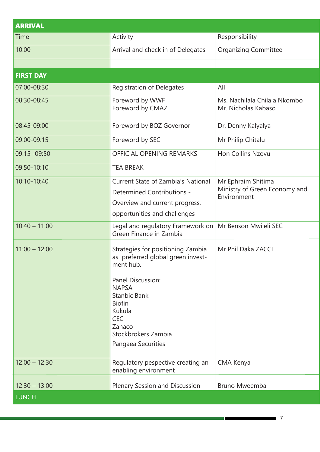| <b>ARRIVAL</b>   |                                                                                                                                                                                                                                          |                                                                    |
|------------------|------------------------------------------------------------------------------------------------------------------------------------------------------------------------------------------------------------------------------------------|--------------------------------------------------------------------|
| Time             | Activity                                                                                                                                                                                                                                 | Responsibility                                                     |
| 10:00            | Arrival and check in of Delegates                                                                                                                                                                                                        | <b>Organizing Committee</b>                                        |
|                  |                                                                                                                                                                                                                                          |                                                                    |
| <b>FIRST DAY</b> |                                                                                                                                                                                                                                          |                                                                    |
| 07:00-08:30      | <b>Registration of Delegates</b>                                                                                                                                                                                                         | All                                                                |
| 08:30-08:45      | Foreword by WWF<br>Foreword by CMAZ                                                                                                                                                                                                      | Ms. Nachilala Chilala Nkombo<br>Mr. Nicholas Kabaso                |
| 08:45-09:00      | Foreword by BOZ Governor                                                                                                                                                                                                                 | Dr. Denny Kalyalya                                                 |
| 09:00-09:15      | Foreword by SEC                                                                                                                                                                                                                          | Mr Philip Chitalu                                                  |
| 09:15 -09:50     | OFFICIAL OPENING REMARKS                                                                                                                                                                                                                 | Hon Collins Nzovu                                                  |
| 09:50-10:10      | <b>TEA BREAK</b>                                                                                                                                                                                                                         |                                                                    |
| 10:10-10:40      | <b>Current State of Zambia's National</b><br>Determined Contributions -<br>Overview and current progress,<br>opportunities and challenges                                                                                                | Mr Ephraim Shitima<br>Ministry of Green Economy and<br>Environment |
| $10:40 - 11:00$  | Legal and regulatory Framework on<br>Green Finance in Zambia                                                                                                                                                                             | Mr Benson Mwileli SEC                                              |
| $11:00 - 12:00$  | Strategies for positioning Zambia<br>as preferred global green invest-<br>ment hub.<br>Panel Discussion:<br><b>NAPSA</b><br>Stanbic Bank<br><b>Biofin</b><br>Kukula<br><b>CEC</b><br>Zanaco<br>Stockbrokers Zambia<br>Pangaea Securities | Mr Phil Daka ZACCI                                                 |
| $12:00 - 12:30$  | Regulatory pespective creating an<br>enabling environment                                                                                                                                                                                | CMA Kenya                                                          |
| $12:30 - 13:00$  | Plenary Session and Discussion                                                                                                                                                                                                           | Bruno Mweemba                                                      |
| <b>LUNCH</b>     |                                                                                                                                                                                                                                          |                                                                    |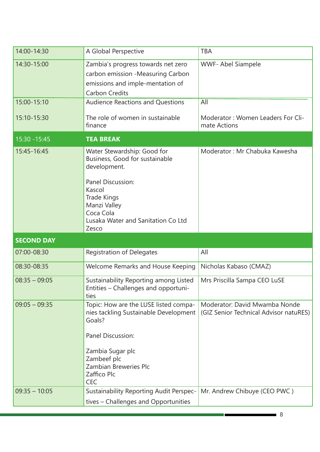| 14:00-14:30<br><b>TBA</b><br>A Global Perspective<br>Zambia's progress towards net zero<br>14:30-15:00<br><b>WWF-Abel Siampele</b><br>carbon emission -Measuring Carbon<br>emissions and imple-mentation of<br><b>Carbon Credits</b><br><b>Audience Reactions and Questions</b><br>All<br>15:00-15:10<br>The role of women in sustainable<br>15:10-15:30<br>Moderator: Women Leaders For Cli-<br>mate Actions<br>finance<br>15:30 - 15:45<br><b>TEA BREAK</b><br>15:45-16:45<br>Moderator: Mr Chabuka Kawesha<br>Water Stewardship: Good for<br>Business, Good for sustainable<br>development.<br>Panel Discussion:<br>Kascol<br><b>Trade Kings</b><br>Manzi Valley<br>Coca Cola<br>Lusaka Water and Sanitation Co Ltd<br>Zesco<br><b>SECOND DAY</b><br>All<br>07:00-08:30<br><b>Registration of Delegates</b><br>08:30-08:35<br>Welcome Remarks and House Keeping<br>Nicholas Kabaso (CMAZ)<br>$08:35 - 09:05$<br>Sustainability Reporting among Listed<br>Mrs Priscilla Sampa CEO LuSE<br>Entities – Challenges and opportuni-<br>ties<br>$09:05 - 09:35$<br>Topic: How are the LUSE listed compa-<br>Moderator: David Mwamba Nonde<br>nies tackling Sustainable Development<br>(GIZ Senior Technical Advisor natuRES)<br>Goals?<br>Panel Discussion:<br>Zambia Sugar plc<br>Zambeef plc<br>Zambian Breweries Plc<br>Zaffico Plc<br><b>CEC</b><br>Sustainability Reporting Audit Perspec-<br>Mr. Andrew Chibuye (CEO PWC)<br>$09:35 - 10:05$<br>tives - Challenges and Opportunities |  |  |
|----------------------------------------------------------------------------------------------------------------------------------------------------------------------------------------------------------------------------------------------------------------------------------------------------------------------------------------------------------------------------------------------------------------------------------------------------------------------------------------------------------------------------------------------------------------------------------------------------------------------------------------------------------------------------------------------------------------------------------------------------------------------------------------------------------------------------------------------------------------------------------------------------------------------------------------------------------------------------------------------------------------------------------------------------------------------------------------------------------------------------------------------------------------------------------------------------------------------------------------------------------------------------------------------------------------------------------------------------------------------------------------------------------------------------------------------------------------------------------------|--|--|
|                                                                                                                                                                                                                                                                                                                                                                                                                                                                                                                                                                                                                                                                                                                                                                                                                                                                                                                                                                                                                                                                                                                                                                                                                                                                                                                                                                                                                                                                                        |  |  |
|                                                                                                                                                                                                                                                                                                                                                                                                                                                                                                                                                                                                                                                                                                                                                                                                                                                                                                                                                                                                                                                                                                                                                                                                                                                                                                                                                                                                                                                                                        |  |  |
|                                                                                                                                                                                                                                                                                                                                                                                                                                                                                                                                                                                                                                                                                                                                                                                                                                                                                                                                                                                                                                                                                                                                                                                                                                                                                                                                                                                                                                                                                        |  |  |
|                                                                                                                                                                                                                                                                                                                                                                                                                                                                                                                                                                                                                                                                                                                                                                                                                                                                                                                                                                                                                                                                                                                                                                                                                                                                                                                                                                                                                                                                                        |  |  |
|                                                                                                                                                                                                                                                                                                                                                                                                                                                                                                                                                                                                                                                                                                                                                                                                                                                                                                                                                                                                                                                                                                                                                                                                                                                                                                                                                                                                                                                                                        |  |  |
|                                                                                                                                                                                                                                                                                                                                                                                                                                                                                                                                                                                                                                                                                                                                                                                                                                                                                                                                                                                                                                                                                                                                                                                                                                                                                                                                                                                                                                                                                        |  |  |
|                                                                                                                                                                                                                                                                                                                                                                                                                                                                                                                                                                                                                                                                                                                                                                                                                                                                                                                                                                                                                                                                                                                                                                                                                                                                                                                                                                                                                                                                                        |  |  |
|                                                                                                                                                                                                                                                                                                                                                                                                                                                                                                                                                                                                                                                                                                                                                                                                                                                                                                                                                                                                                                                                                                                                                                                                                                                                                                                                                                                                                                                                                        |  |  |
|                                                                                                                                                                                                                                                                                                                                                                                                                                                                                                                                                                                                                                                                                                                                                                                                                                                                                                                                                                                                                                                                                                                                                                                                                                                                                                                                                                                                                                                                                        |  |  |
|                                                                                                                                                                                                                                                                                                                                                                                                                                                                                                                                                                                                                                                                                                                                                                                                                                                                                                                                                                                                                                                                                                                                                                                                                                                                                                                                                                                                                                                                                        |  |  |
|                                                                                                                                                                                                                                                                                                                                                                                                                                                                                                                                                                                                                                                                                                                                                                                                                                                                                                                                                                                                                                                                                                                                                                                                                                                                                                                                                                                                                                                                                        |  |  |
|                                                                                                                                                                                                                                                                                                                                                                                                                                                                                                                                                                                                                                                                                                                                                                                                                                                                                                                                                                                                                                                                                                                                                                                                                                                                                                                                                                                                                                                                                        |  |  |
|                                                                                                                                                                                                                                                                                                                                                                                                                                                                                                                                                                                                                                                                                                                                                                                                                                                                                                                                                                                                                                                                                                                                                                                                                                                                                                                                                                                                                                                                                        |  |  |
|                                                                                                                                                                                                                                                                                                                                                                                                                                                                                                                                                                                                                                                                                                                                                                                                                                                                                                                                                                                                                                                                                                                                                                                                                                                                                                                                                                                                                                                                                        |  |  |

8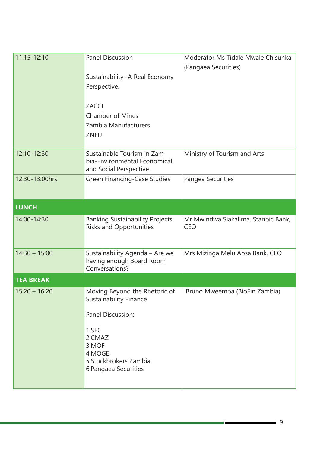| $11:15 - 12:10$  | <b>Panel Discussion</b>                                                                | Moderator Ms Tidale Mwale Chisunka                |
|------------------|----------------------------------------------------------------------------------------|---------------------------------------------------|
|                  |                                                                                        | (Pangaea Securities)                              |
|                  | Sustainability- A Real Economy                                                         |                                                   |
|                  | Perspective.                                                                           |                                                   |
|                  | <b>ZACCI</b>                                                                           |                                                   |
|                  | <b>Chamber of Mines</b>                                                                |                                                   |
|                  | Zambia Manufacturers                                                                   |                                                   |
|                  | ZNFU                                                                                   |                                                   |
| 12:10-12:30      | Sustainable Tourism in Zam-<br>bia-Environmental Economical<br>and Social Perspective. | Ministry of Tourism and Arts                      |
| 12:30-13:00hrs   | <b>Green Financing-Case Studies</b>                                                    | Pangea Securities                                 |
| <b>LUNCH</b>     |                                                                                        |                                                   |
| 14:00-14:30      | <b>Banking Sustainability Projects</b><br><b>Risks and Opportunities</b>               | Mr Mwindwa Siakalima, Stanbic Bank,<br><b>CEO</b> |
| $14:30 - 15:00$  | Sustainability Agenda - Are we<br>having enough Board Room<br>Conversations?           | Mrs Mizinga Melu Absa Bank, CEO                   |
| <b>TEA BREAK</b> |                                                                                        |                                                   |
| $15:20 - 16:20$  | Moving Beyond the Rhetoric of<br><b>Sustainability Finance</b>                         | Bruno Mweemba (BioFin Zambia)                     |
|                  | Panel Discussion:                                                                      |                                                   |
|                  | 1.SEC<br>2.CMAZ<br>3.MOF<br>4.MOGE<br>5. Stockbrokers Zambia<br>6. Pangaea Securities  |                                                   |

man a